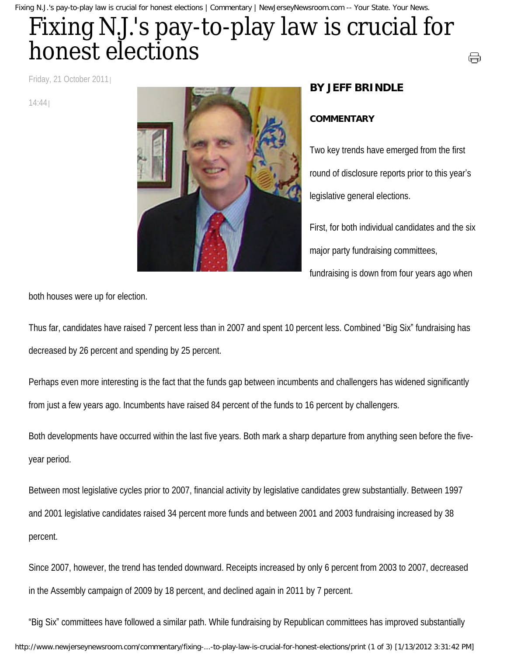## Fixing N.J.'s pay-to-play law is crucial for honest elections

Friday, 21 October 2011

14:44



## **BY JEFF BRINDLE**

## **COMMENTARY**

Two key trends have emerged from the first round of disclosure reports prior to this year's legislative general elections.

⊜

First, for both individual candidates and the six major party fundraising committees,

fundraising is down from four years ago when

both houses were up for election.

Thus far, candidates have raised 7 percent less than in 2007 and spent 10 percent less. Combined "Big Six" fundraising has decreased by 26 percent and spending by 25 percent.

Perhaps even more interesting is the fact that the funds gap between incumbents and challengers has widened significantly from just a few years ago. Incumbents have raised 84 percent of the funds to 16 percent by challengers.

Both developments have occurred within the last five years. Both mark a sharp departure from anything seen before the fiveyear period.

Between most legislative cycles prior to 2007, financial activity by legislative candidates grew substantially. Between 1997 and 2001 legislative candidates raised 34 percent more funds and between 2001 and 2003 fundraising increased by 38 percent.

Since 2007, however, the trend has tended downward. Receipts increased by only 6 percent from 2003 to 2007, decreased in the Assembly campaign of 2009 by 18 percent, and declined again in 2011 by 7 percent.

"Big Six" committees have followed a similar path. While fundraising by Republican committees has improved substantially http://www.newjerseynewsroom.com/commentary/fixing-...-to-play-law-is-crucial-for-honest-elections/print (1 of 3) [1/13/2012 3:31:42 PM]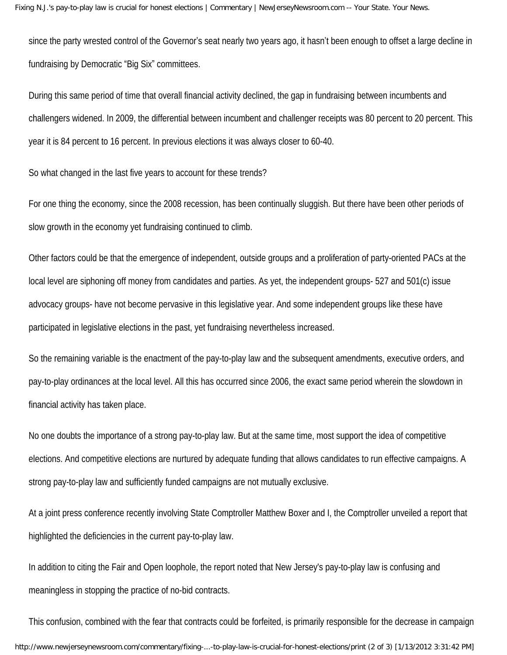since the party wrested control of the Governor's seat nearly two years ago, it hasn't been enough to offset a large decline in fundraising by Democratic "Big Six" committees.

During this same period of time that overall financial activity declined, the gap in fundraising between incumbents and challengers widened. In 2009, the differential between incumbent and challenger receipts was 80 percent to 20 percent. This year it is 84 percent to 16 percent. In previous elections it was always closer to 60-40.

So what changed in the last five years to account for these trends?

For one thing the economy, since the 2008 recession, has been continually sluggish. But there have been other periods of slow growth in the economy yet fundraising continued to climb.

Other factors could be that the emergence of independent, outside groups and a proliferation of party-oriented PACs at the local level are siphoning off money from candidates and parties. As yet, the independent groups- 527 and 501(c) issue advocacy groups- have not become pervasive in this legislative year. And some independent groups like these have participated in legislative elections in the past, yet fundraising nevertheless increased.

So the remaining variable is the enactment of the pay-to-play law and the subsequent amendments, executive orders, and pay-to-play ordinances at the local level. All this has occurred since 2006, the exact same period wherein the slowdown in financial activity has taken place.

No one doubts the importance of a strong pay-to-play law. But at the same time, most support the idea of competitive elections. And competitive elections are nurtured by adequate funding that allows candidates to run effective campaigns. A strong pay-to-play law and sufficiently funded campaigns are not mutually exclusive.

At a joint press conference recently involving State Comptroller Matthew Boxer and I, the Comptroller unveiled a report that highlighted the deficiencies in the current pay-to-play law.

In addition to citing the Fair and Open loophole, the report noted that New Jersey's pay-to-play law is confusing and meaningless in stopping the practice of no-bid contracts.

This confusion, combined with the fear that contracts could be forfeited, is primarily responsible for the decrease in campaign http://www.newjerseynewsroom.com/commentary/fixing-...-to-play-law-is-crucial-for-honest-elections/print (2 of 3) [1/13/2012 3:31:42 PM]